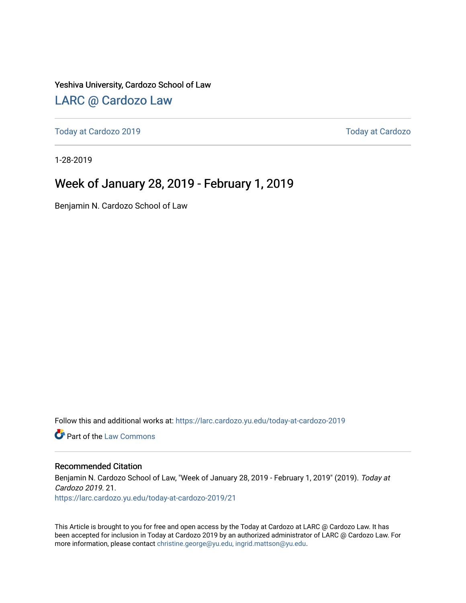#### Yeshiva University, Cardozo School of Law

#### [LARC @ Cardozo Law](https://larc.cardozo.yu.edu/)

[Today at Cardozo 2019](https://larc.cardozo.yu.edu/today-at-cardozo-2019) [Today at Cardozo](https://larc.cardozo.yu.edu/today-at-cardozo) 

1-28-2019

#### Week of January 28, 2019 - February 1, 2019

Benjamin N. Cardozo School of Law

Follow this and additional works at: [https://larc.cardozo.yu.edu/today-at-cardozo-2019](https://larc.cardozo.yu.edu/today-at-cardozo-2019?utm_source=larc.cardozo.yu.edu%2Ftoday-at-cardozo-2019%2F21&utm_medium=PDF&utm_campaign=PDFCoverPages)

**C** Part of the [Law Commons](http://network.bepress.com/hgg/discipline/578?utm_source=larc.cardozo.yu.edu%2Ftoday-at-cardozo-2019%2F21&utm_medium=PDF&utm_campaign=PDFCoverPages)

#### Recommended Citation

Benjamin N. Cardozo School of Law, "Week of January 28, 2019 - February 1, 2019" (2019). Today at Cardozo 2019. 21. [https://larc.cardozo.yu.edu/today-at-cardozo-2019/21](https://larc.cardozo.yu.edu/today-at-cardozo-2019/21?utm_source=larc.cardozo.yu.edu%2Ftoday-at-cardozo-2019%2F21&utm_medium=PDF&utm_campaign=PDFCoverPages) 

This Article is brought to you for free and open access by the Today at Cardozo at LARC @ Cardozo Law. It has been accepted for inclusion in Today at Cardozo 2019 by an authorized administrator of LARC @ Cardozo Law. For more information, please contact [christine.george@yu.edu, ingrid.mattson@yu.edu](mailto:christine.george@yu.edu,%20ingrid.mattson@yu.edu).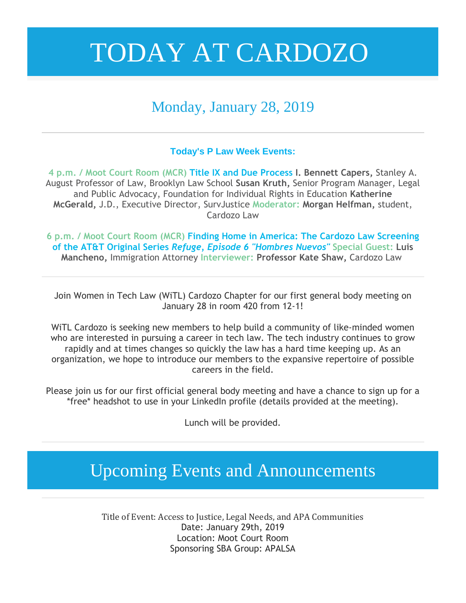### Monday, January 28, 2019

#### **Today's P Law Week Events:**

**4 p.m. / Moot Court Room (MCR) Title IX and Due Process I. Bennett Capers,** Stanley A. August Professor of Law, Brooklyn Law School **Susan Kruth,** Senior Program Manager, Legal and Public Advocacy, Foundation for Individual Rights in Education **Katherine McGerald,** J.D., Executive Director, SurvJustice **Moderator: Morgan Helfman,** student, Cardozo Law

**6 p.m. / Moot Court Room (MCR) Finding Home in America: The Cardozo Law Screening of the AT&T Original Series** *Refuge, Episode 6 "Hombres Nuevos"* **Special Guest: Luis Mancheno,** Immigration Attorney **Interviewer: Professor Kate Shaw,** Cardozo Law

Join Women in Tech Law (WiTL) Cardozo Chapter for our first general body meeting on January 28 in room 420 from 12-1!

WiTL Cardozo is seeking new members to help build a community of like-minded women who are interested in pursuing a career in tech law. The tech industry continues to grow rapidly and at times changes so quickly the law has a hard time keeping up. As an organization, we hope to introduce our members to the expansive repertoire of possible careers in the field.

Please join us for our first official general body meeting and have a chance to sign up for a \*free\* headshot to use in your LinkedIn profile (details provided at the meeting).

Lunch will be provided.

### Upcoming Events and Announcements

Title of Event: Access to Justice, Legal Needs, and APA Communities Date: January 29th, 2019 Location: Moot Court Room Sponsoring SBA Group: APALSA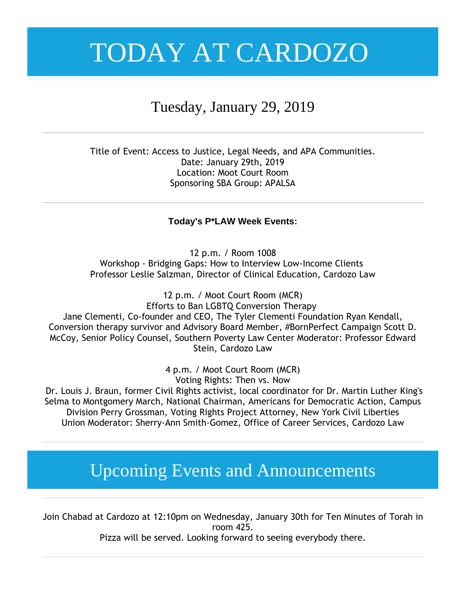### Tuesday, January 29, 2019

Title of Event: Access to Justice, Legal Needs, and APA Communities. Date: January 29th, 2019 Location: Moot Court Room Sponsoring SBA Group: APALSA

#### **Today's P\*LAW Week Events:**

12 p.m. / Room 1008 Workshop - Bridging Gaps: How to Interview Low-Income Clients Professor Leslie Salzman, Director of Clinical Education, Cardozo Law

12 p.m. / Moot Court Room (MCR) Efforts to Ban LGBTQ Conversion Therapy Jane Clementi, Co-founder and CEO, The Tyler Clementi Foundation Ryan Kendall, Conversion therapy survivor and Advisory Board Member, #BornPerfect Campaign Scott D. McCoy, Senior Policy Counsel, Southern Poverty Law Center Moderator: Professor Edward Stein, Cardozo Law

> 4 p.m. / Moot Court Room (MCR) Voting Rights: Then vs. Now

Dr. Louis J. Braun, former Civil Rights activist, local coordinator for Dr. Martin Luther King's Selma to Montgomery March, National Chairman, Americans for Democratic Action, Campus Division Perry Grossman, Voting Rights Project Attorney, New York Civil Liberties Union Moderator: Sherry-Ann Smith-Gomez, Office of Career Services, Cardozo Law

### Upcoming Events and Announcements

Join Chabad at Cardozo at 12:10pm on Wednesday, January 30th for Ten Minutes of Torah in room 425.

Pizza will be served. Looking forward to seeing everybody there.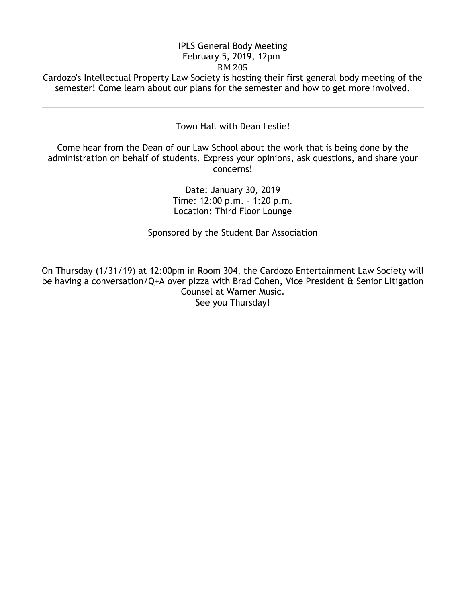#### IPLS General Body Meeting February 5, 2019, 12pm RM 205

Cardozo's Intellectual Property Law Society is hosting their first general body meeting of the semester! Come learn about our plans for the semester and how to get more involved.

#### Town Hall with Dean Leslie!

Come hear from the Dean of our Law School about the work that is being done by the administration on behalf of students. Express your opinions, ask questions, and share your concerns!

> Date: January 30, 2019 Time: 12:00 p.m. - 1:20 p.m. Location: Third Floor Lounge

Sponsored by the Student Bar Association

On Thursday (1/31/19) at 12:00pm in Room 304, the Cardozo Entertainment Law Society will be having a conversation/Q+A over pizza with Brad Cohen, Vice President & Senior Litigation Counsel at Warner Music. See you Thursday!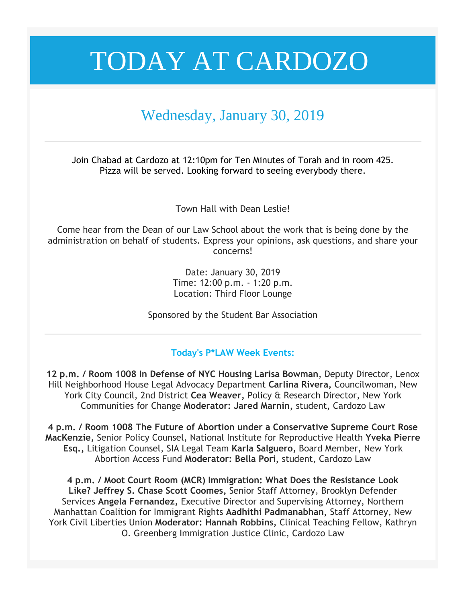### Wednesday, January 30, 2019

Join Chabad at Cardozo at 12:10pm for Ten Minutes of Torah and in room 425. Pizza will be served. Looking forward to seeing everybody there.

Town Hall with Dean Leslie!

Come hear from the Dean of our Law School about the work that is being done by the administration on behalf of students. Express your opinions, ask questions, and share your concerns!

> Date: January 30, 2019 Time: 12:00 p.m. - 1:20 p.m. Location: Third Floor Lounge

Sponsored by the Student Bar Association

#### **Today's P\*LAW Week Events:**

**12 p.m. / Room 1008 In Defense of NYC Housing Larisa Bowman**, Deputy Director, Lenox Hill Neighborhood House Legal Advocacy Department **Carlina Rivera,** Councilwoman, New York City Council, 2nd District **Cea Weaver,** Policy & Research Director, New York Communities for Change **Moderator: Jared Marnin,** student, Cardozo Law

**4 p.m. / Room 1008 The Future of Abortion under a Conservative Supreme Court Rose MacKenzie,** Senior Policy Counsel, National Institute for Reproductive Health **Yveka Pierre Esq.,** Litigation Counsel, SIA Legal Team **Karla Salguero,** Board Member, New York Abortion Access Fund **Moderator: Bella Pori,** student, Cardozo Law

**4 p.m. / Moot Court Room (MCR) Immigration: What Does the Resistance Look Like? Jeffrey S. Chase Scott Coomes,** Senior Staff Attorney, Brooklyn Defender Services **Angela Fernandez,** Executive Director and Supervising Attorney, Northern Manhattan Coalition for Immigrant Rights **Aadhithi Padmanabhan,** Staff Attorney, New York Civil Liberties Union **Moderator: Hannah Robbins,** Clinical Teaching Fellow, Kathryn O. Greenberg Immigration Justice Clinic, Cardozo Law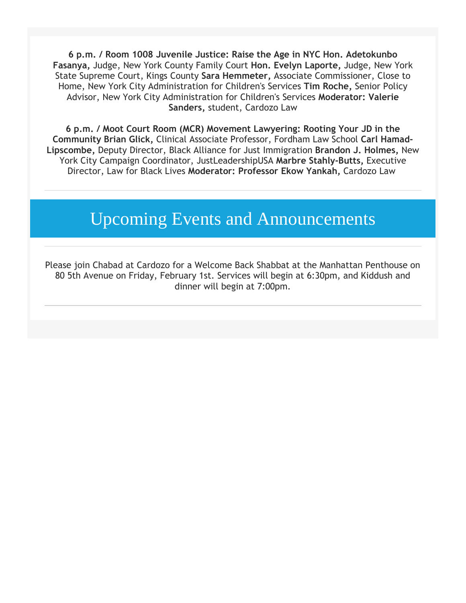**6 p.m. / Room 1008 Juvenile Justice: Raise the Age in NYC Hon. Adetokunbo Fasanya,** Judge, New York County Family Court **Hon. Evelyn Laporte,** Judge, New York State Supreme Court, Kings County **Sara Hemmeter,** Associate Commissioner, Close to Home, New York City Administration for Children's Services **Tim Roche,** Senior Policy Advisor, New York City Administration for Children's Services **Moderator: Valerie Sanders,** student, Cardozo Law

**6 p.m. / Moot Court Room (MCR) Movement Lawyering: Rooting Your JD in the Community Brian Glick,** Clinical Associate Professor, Fordham Law School **Carl Hamad-Lipscombe,** Deputy Director, Black Alliance for Just Immigration **Brandon J. Holmes,** New York City Campaign Coordinator, JustLeadershipUSA **Marbre Stahly-Butts,** Executive Director, Law for Black Lives **Moderator: Professor Ekow Yankah,** Cardozo Law

### Upcoming Events and Announcements

Please join Chabad at Cardozo for a Welcome Back Shabbat at the Manhattan Penthouse on 80 5th Avenue on Friday, February 1st. Services will begin at 6:30pm, and Kiddush and dinner will begin at 7:00pm.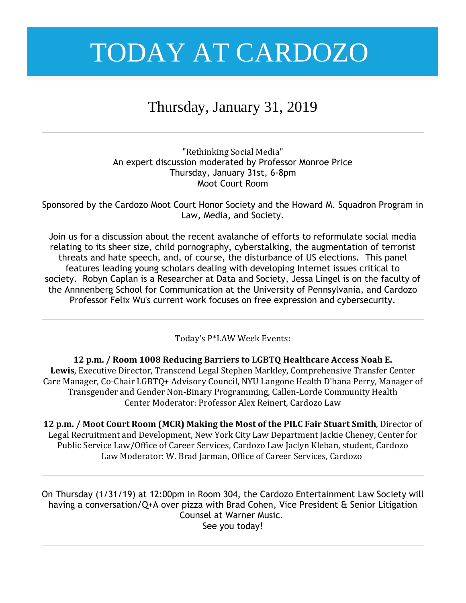### Thursday, January 31, 2019

"Rethinking Social Media" An expert discussion moderated by Professor Monroe Price Thursday, January 31st, 6-8pm Moot Court Room

Sponsored by the Cardozo Moot Court Honor Society and the Howard M. Squadron Program in Law, Media, and Society.

Join us for a discussion about the recent avalanche of efforts to reformulate social media relating to its sheer size, child pornography, cyberstalking, the augmentation of terrorist threats and hate speech, and, of course, the disturbance of US elections. This panel features leading young scholars dealing with developing Internet issues critical to society. Robyn Caplan is a Researcher at Data and Society, Jessa Lingel is on the faculty of the Annnenberg School for Communication at the University of Pennsylvania, and Cardozo Professor Felix Wu's current work focuses on free expression and cybersecurity.

Today's P\*LAW Week Events:

**12 p.m. / Room 1008 Reducing Barriers to LGBTQ Healthcare Access Noah E. Lewis**, Executive Director, Transcend Legal Stephen Markley, Comprehensive Transfer Center Care Manager, Co-Chair LGBTQ+ Advisory Council, NYU Langone Health D'hana Perry, Manager of Transgender and Gender Non-Binary Programming, Callen-Lorde Community Health Center Moderator: Professor Alex Reinert, Cardozo Law

**12 p.m. / Moot Court Room (MCR) Making the Most of the PILC Fair Stuart Smith**, Director of Legal Recruitment and Development, New York City Law Department Jackie Cheney, Center for Public Service Law/Office of Career Services, Cardozo Law Jaclyn Kleban, student, Cardozo Law Moderator: W. Brad Jarman, Office of Career Services, Cardozo

On Thursday (1/31/19) at 12:00pm in Room 304, the Cardozo Entertainment Law Society will having a conversation/Q+A over pizza with Brad Cohen, Vice President & Senior Litigation Counsel at Warner Music. See you today!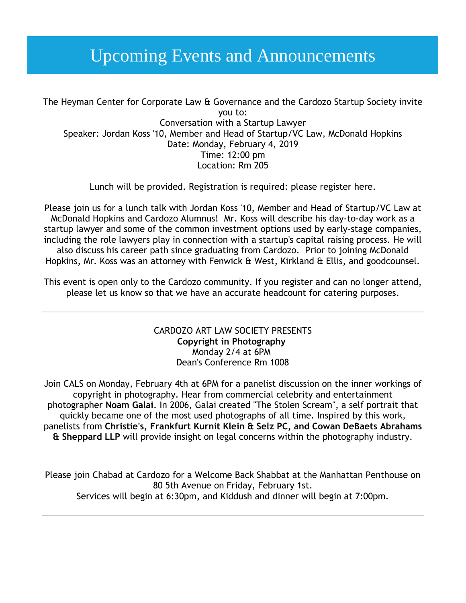### Upcoming Events and Announcements

The Heyman Center for Corporate Law & Governance and the Cardozo Startup Society invite you to: Conversation with a Startup Lawyer Speaker: Jordan Koss '10, Member and Head of Startup/VC Law, McDonald Hopkins Date: Monday, February 4, 2019 Time: 12:00 pm Location: Rm 205

Lunch will be provided. Registration is required: please register here.

Please join us for a lunch talk with Jordan Koss '10, Member and Head of Startup/VC Law at McDonald Hopkins and Cardozo Alumnus! Mr. Koss will describe his day-to-day work as a startup lawyer and some of the common investment options used by early-stage companies, including the role lawyers play in connection with a startup's capital raising process. He will also discuss his career path since graduating from Cardozo. Prior to joining McDonald Hopkins, Mr. Koss was an attorney with Fenwick & West, Kirkland & Ellis, and goodcounsel.

This event is open only to the Cardozo community. If you register and can no longer attend, please let us know so that we have an accurate headcount for catering purposes.

#### CARDOZO ART LAW SOCIETY PRESENTS **Copyright in Photography** Monday 2/4 at 6PM Dean's Conference Rm 1008

Join CALS on Monday, February 4th at 6PM for a panelist discussion on the inner workings of copyright in photography. Hear from commercial celebrity and entertainment photographer **Noam Galai**. In 2006, Galai created "The Stolen Scream", a self portrait that quickly became one of the most used photographs of all time. Inspired by this work, panelists from **Christie's, Frankfurt Kurnit Klein & Selz PC, and Cowan DeBaets Abrahams & Sheppard LLP** will provide insight on legal concerns within the photography industry.

Please join Chabad at Cardozo for a Welcome Back Shabbat at the Manhattan Penthouse on 80 5th Avenue on Friday, February 1st. Services will begin at 6:30pm, and Kiddush and dinner will begin at 7:00pm.